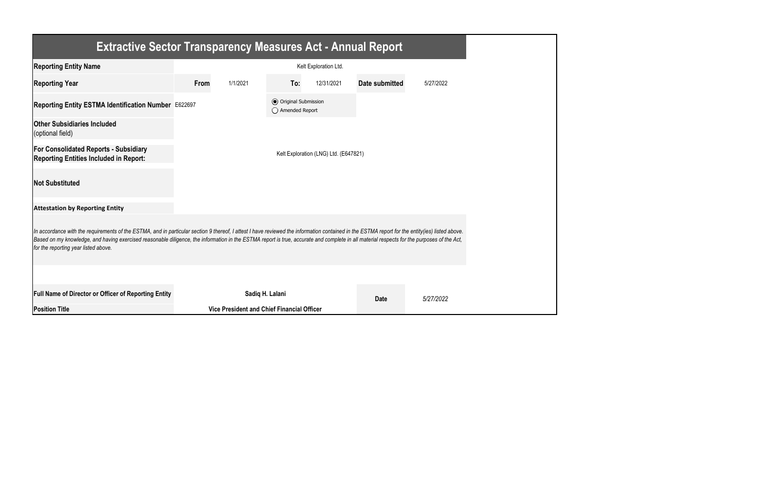| <b>Extractive Sector Transparency Measures Act - Annual Report</b>                                                                                                                                                                                                                                                                                                                                                                    |      |                                            |                                                  |                                       |                |           |  |
|---------------------------------------------------------------------------------------------------------------------------------------------------------------------------------------------------------------------------------------------------------------------------------------------------------------------------------------------------------------------------------------------------------------------------------------|------|--------------------------------------------|--------------------------------------------------|---------------------------------------|----------------|-----------|--|
| <b>Reporting Entity Name</b>                                                                                                                                                                                                                                                                                                                                                                                                          |      |                                            |                                                  | Kelt Exploration Ltd.                 |                |           |  |
| <b>Reporting Year</b>                                                                                                                                                                                                                                                                                                                                                                                                                 | From | 1/1/2021                                   | To:                                              | 12/31/2021                            | Date submitted | 5/27/2022 |  |
| Reporting Entity ESTMA Identification Number E622697                                                                                                                                                                                                                                                                                                                                                                                  |      |                                            | <b>⊙</b> Original Submission<br>◯ Amended Report |                                       |                |           |  |
| <b>Other Subsidiaries Included</b><br>(optional field)                                                                                                                                                                                                                                                                                                                                                                                |      |                                            |                                                  |                                       |                |           |  |
| <b>For Consolidated Reports - Subsidiary</b><br><b>Reporting Entities Included in Report:</b>                                                                                                                                                                                                                                                                                                                                         |      |                                            |                                                  | Kelt Exploration (LNG) Ltd. (E647821) |                |           |  |
| <b>Not Substituted</b>                                                                                                                                                                                                                                                                                                                                                                                                                |      |                                            |                                                  |                                       |                |           |  |
| <b>Attestation by Reporting Entity</b>                                                                                                                                                                                                                                                                                                                                                                                                |      |                                            |                                                  |                                       |                |           |  |
| In accordance with the requirements of the ESTMA, and in particular section 9 thereof, I attest I have reviewed the information contained in the ESTMA report for the entity(ies) listed above.<br>Based on my knowledge, and having exercised reasonable diligence, the information in the ESTMA report is true, accurate and complete in all material respects for the purposes of the Act,<br>for the reporting year listed above. |      |                                            |                                                  |                                       |                |           |  |
|                                                                                                                                                                                                                                                                                                                                                                                                                                       |      |                                            |                                                  |                                       |                |           |  |
| Full Name of Director or Officer of Reporting Entity                                                                                                                                                                                                                                                                                                                                                                                  |      |                                            | Sadiq H. Lalani                                  |                                       | <b>Date</b>    | 5/27/2022 |  |
| <b>Position Title</b>                                                                                                                                                                                                                                                                                                                                                                                                                 |      | Vice President and Chief Financial Officer |                                                  |                                       |                |           |  |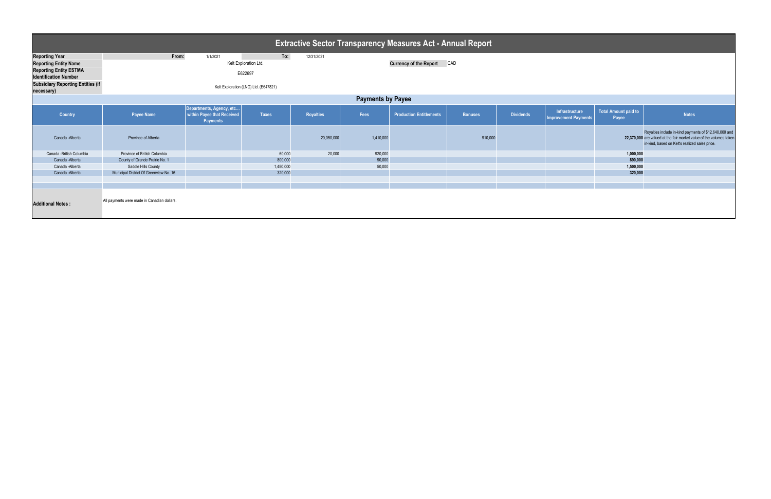| <b>Extractive Sector Transparency Measures Act - Annual Report</b>                                                                                                               |                                                                                                                     |                                                                           |              |                  |                                      |                                |                |                  |                                               |                                      |                                                                                                                                                                                 |
|----------------------------------------------------------------------------------------------------------------------------------------------------------------------------------|---------------------------------------------------------------------------------------------------------------------|---------------------------------------------------------------------------|--------------|------------------|--------------------------------------|--------------------------------|----------------|------------------|-----------------------------------------------|--------------------------------------|---------------------------------------------------------------------------------------------------------------------------------------------------------------------------------|
| <b>Reporting Year</b><br><b>Reporting Entity Name</b><br><b>Reporting Entity ESTMA</b><br><b>Identification Number</b><br><b>Subsidiary Reporting Entities (if</b><br>necessary) | From:<br>To:<br>12/31/2021<br>1/1/2021<br>Kelt Exploration Ltd.<br>E622697<br>Kelt Exploration (LNG) Ltd. (E647821) |                                                                           |              |                  | <b>Currency of the Report</b><br>CAD |                                |                |                  |                                               |                                      |                                                                                                                                                                                 |
| <b>Payments by Payee</b>                                                                                                                                                         |                                                                                                                     |                                                                           |              |                  |                                      |                                |                |                  |                                               |                                      |                                                                                                                                                                                 |
| Country                                                                                                                                                                          | <b>Payee Name</b>                                                                                                   | Departments, Agency, etc<br>within Payee that Received<br><b>Payments</b> | <b>Taxes</b> | <b>Royalties</b> | Fees                                 | <b>Production Entitlements</b> | <b>Bonuses</b> | <b>Dividends</b> | Infrastructure<br><b>Improvement Payments</b> | <b>Total Amount paid to</b><br>Payee | <b>Notes</b>                                                                                                                                                                    |
| Canada - Alberta                                                                                                                                                                 | Province of Alberta                                                                                                 |                                                                           |              | 20,050,000       | 1,410,000                            |                                | 910,000        |                  |                                               |                                      | Royalties include in-kind payments of \$12,640,000 and<br>22,370,000 are valued at the fair market value of the volumes taken<br>in-kind, based on Kelt's realized sales price. |
| Canada -British Columbia                                                                                                                                                         | Province of British Columbia                                                                                        |                                                                           | 60,000       | 20,000           | 920,000                              |                                |                |                  |                                               | 1,000,000                            |                                                                                                                                                                                 |
| Canada - Alberta                                                                                                                                                                 | County of Grande Prairie No. 1                                                                                      |                                                                           | 800,000      |                  | 90,000                               |                                |                |                  |                                               | 890,000                              |                                                                                                                                                                                 |
| Canada - Alberta                                                                                                                                                                 | Saddle Hills County                                                                                                 |                                                                           | 1,450,000    |                  | 50,000                               |                                |                |                  |                                               | 1,500,000                            |                                                                                                                                                                                 |
| Canada - Alberta                                                                                                                                                                 | Municipal District Of Greenview No. 16                                                                              |                                                                           | 320,000      |                  |                                      |                                |                |                  |                                               | 320,000                              |                                                                                                                                                                                 |
|                                                                                                                                                                                  |                                                                                                                     |                                                                           |              |                  |                                      |                                |                |                  |                                               |                                      |                                                                                                                                                                                 |
| <b>Additional Notes:</b>                                                                                                                                                         | All payments were made in Canadian dollars.                                                                         |                                                                           |              |                  |                                      |                                |                |                  |                                               |                                      |                                                                                                                                                                                 |